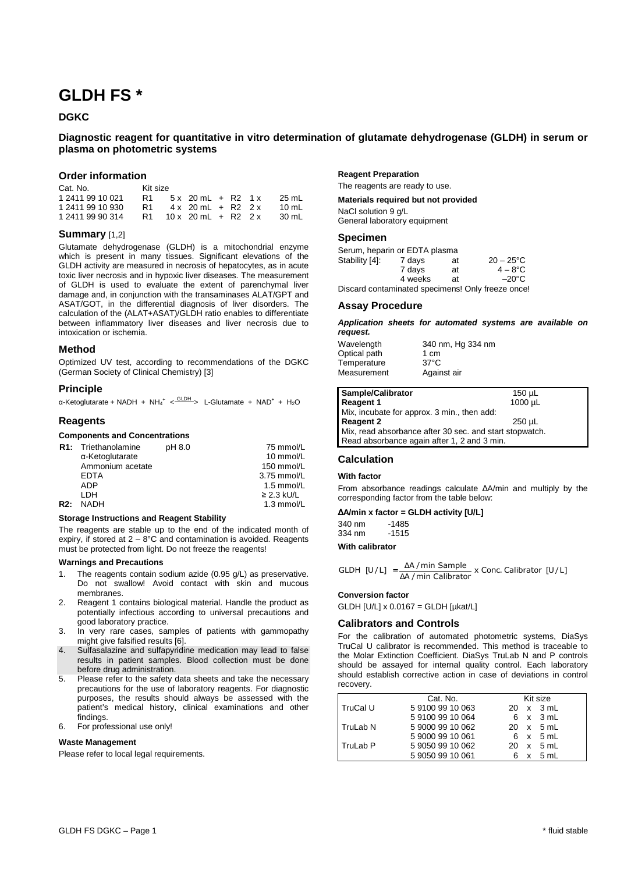# **GLDH FS \***

## **DGKC**

# **Diagnostic reagent for quantitative in vitro determination of glutamate dehydrogenase (GLDH) in serum or plasma on photometric systems**

## **Order information**

| Cat. No.         | Kit size |                      |  |       |
|------------------|----------|----------------------|--|-------|
| 1 2411 99 10 021 | R1.      | $5x$ 20 mL + R2 1 x  |  | 25 mL |
| 1 2411 99 10 930 | R1.      | $4x$ 20 mL + R2 2 x  |  | 10 ml |
| 1 2411 99 90 314 | R1.      | $10x$ 20 mL + R2 2 x |  | 30 mL |

## **Summary** [1,2]

Glutamate dehydrogenase (GLDH) is a mitochondrial enzyme which is present in many tissues. Significant elevations of the GLDH activity are measured in necrosis of hepatocytes, as in acute toxic liver necrosis and in hypoxic liver diseases. The measurement of GLDH is used to evaluate the extent of parenchymal liver damage and, in conjunction with the transaminases ALAT/GPT and ASAT/GOT, in the differential diagnosis of liver disorders. The calculation of the (ALAT+ASAT)/GLDH ratio enables to differentiate between inflammatory liver diseases and liver necrosis due to intoxication or ischemia.

## **Method**

Optimized UV test, according to recommendations of the DGKC (German Society of Clinical Chemistry) [3]

## **Principle**

α-Ketoglutarate + NADH + NH<sub>4</sub><sup>+</sup> <  $\frac{\text{GLDH}}{2}$  L-Glutamate + NAD<sup>+</sup> + H<sub>2</sub>O

## **Reagents**

## **Components and Concentrations**

| <b>R1:</b> Triethanolamine | pH 8.0 | 75 mmol/L       |
|----------------------------|--------|-----------------|
| $\alpha$ -Ketoglutarate    |        | 10 mmol/L       |
| Ammonium acetate           |        | 150 mmol/L      |
| <b>EDTA</b>                |        | 3.75 mmol/L     |
| ADP                        |        | $1.5$ mmol/L    |
| I DH                       |        | $\geq$ 2.3 kU/L |
| NADH                       |        | 1.3 mmol/L      |
|                            |        |                 |

#### **Storage Instructions and Reagent Stability**

The reagents are stable up to the end of the indicated month of expiry, if stored at  $2 - 8^{\circ}$ C and contamination is avoided. Reagents must be protected from light. Do not freeze the reagents!

## **Warnings and Precautions**

- 1. The reagents contain sodium azide (0.95 g/L) as preservative. Do not swallow! Avoid contact with skin and mucous membranes.
- 2. Reagent 1 contains biological material. Handle the product as potentially infectious according to universal precautions and good laboratory practice.
- 3. In very rare cases, samples of patients with gammopathy might give falsified results [6].
- 4. Sulfasalazine and sulfapyridine medication may lead to false results in patient samples. Blood collection must be done before drug administration.
- 5. Please refer to the safety data sheets and take the necessary precautions for the use of laboratory reagents. For diagnostic purposes, the results should always be assessed with the patient's medical history, clinical examinations and other findings.

# 6. For professional use only!

# **Waste Management**

Please refer to local legal requirements.

## **Reagent Preparation**

The reagents are ready to use.

#### **Materials required but not provided**

NaCl solution 9 g/L General laboratory equipment

## **Specimen**

| Serum, heparin or EDTA plasma                     |         |    |                     |  |  |
|---------------------------------------------------|---------|----|---------------------|--|--|
| Stability [4]:                                    | 7 days  | at | $20 - 25^{\circ}$ C |  |  |
|                                                   | 7 days  | at | $4 - 8^{\circ}$ C   |  |  |
|                                                   | 4 weeks | аt | $-20^{\circ}$ C     |  |  |
| Discard contaminated specimens! Only freeze once! |         |    |                     |  |  |

## **Assay Procedure**

**Application sheets for automated systems are available on request.** 

| Wavelength   | 340 nm, Hg 334 nm |
|--------------|-------------------|
| Optical path | 1 cm              |
| Temperature  | $37^{\circ}$ C    |
| Measurement  | Against air       |

| Sample/Calibrator                                       | $150 \mu L$ |  |  |  |
|---------------------------------------------------------|-------------|--|--|--|
| <b>Reagent 1</b>                                        | 1000 µL     |  |  |  |
| Mix, incubate for approx. 3 min., then add:             |             |  |  |  |
| <b>Reagent 2</b>                                        | 250 uL      |  |  |  |
| Mix, read absorbance after 30 sec. and start stopwatch. |             |  |  |  |
| Read absorbance again after 1, 2 and 3 min.             |             |  |  |  |

## **Calculation**

#### **With factor**

From absorbance readings calculate ∆A/min and multiply by the corresponding factor from the table below:

#### ∆**A/min x factor = GLDH activity [U/L]**

340 nm -1485 334 nm -1515

### **With calibrator**

GLDH [U/L] = 
$$
\frac{\Delta A / \text{min Sample}}{\Delta A / \text{min Calibration}} \times \text{Conc. Calibration [U/L]}
$$

#### **Conversion factor**

GLDH [U/L] x 0.0167 = GLDH [µkat/L]

## **Calibrators and Controls**

For the calibration of automated photometric systems, DiaSys TruCal U calibrator is recommended. This method is traceable to the Molar Extinction Coefficient. DiaSys TruLab N and P controls should be assayed for internal quality control. Each laboratory should establish corrective action in case of deviations in control recovery.

|          | Cat. No.         | Kit size        |
|----------|------------------|-----------------|
| TruCal U | 591009910063     | 20 x 3 mL       |
|          | 591009910064     | $6 \times 3$ mL |
| TruLab N | 5 9000 99 10 062 | 20 x 5 mL       |
|          | 5 9000 99 10 061 | 6 x 5 mL        |
| TruLab P | 5 9050 99 10 062 | 20 x 5 mL       |
|          | 5 9050 99 10 061 | $x = 5$ mL      |